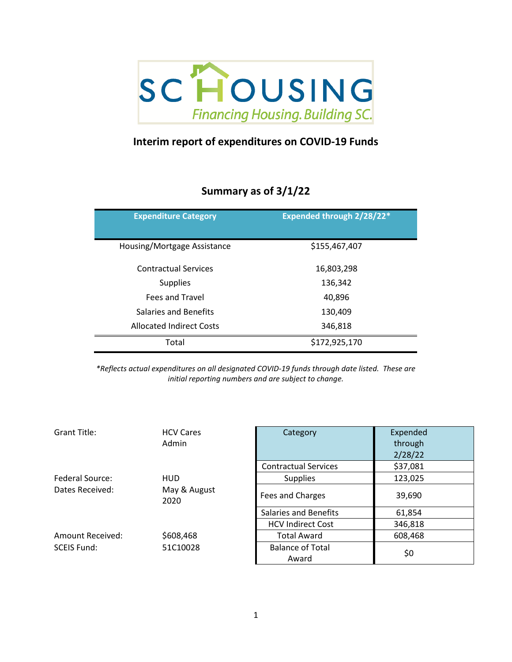

## **Interim report of expenditures on COVID-19 Funds**

## **Summary as of 3/1/22**

| <b>Expenditure Category</b>     | <b>Expended through 2/28/22*</b> |
|---------------------------------|----------------------------------|
| Housing/Mortgage Assistance     | \$155,467,407                    |
| <b>Contractual Services</b>     | 16,803,298                       |
| <b>Supplies</b>                 | 136,342                          |
| <b>Fees and Travel</b>          | 40,896                           |
| Salaries and Benefits           | 130,409                          |
| <b>Allocated Indirect Costs</b> | 346,818                          |
| Total                           | \$172,925,170                    |

*\*Reflects actual expenditures on all designated COVID-19 funds through date listed. These are initial reporting numbers and are subject to change.*

| Grant Title:       | <b>HCV Cares</b><br>Admin | Category                         | Expended<br>through<br>2/28/22 |
|--------------------|---------------------------|----------------------------------|--------------------------------|
|                    |                           | <b>Contractual Services</b>      | \$37,081                       |
| Federal Source:    | <b>HUD</b>                | <b>Supplies</b>                  | 123,025                        |
| Dates Received:    | May & August<br>2020      | Fees and Charges                 | 39,690                         |
|                    |                           | <b>Salaries and Benefits</b>     | 61,854                         |
|                    |                           | <b>HCV Indirect Cost</b>         | 346,818                        |
| Amount Received:   | \$608,468                 | <b>Total Award</b>               | 608,468                        |
| <b>SCEIS Fund:</b> | 51C10028                  | <b>Balance of Total</b><br>Award | \$0                            |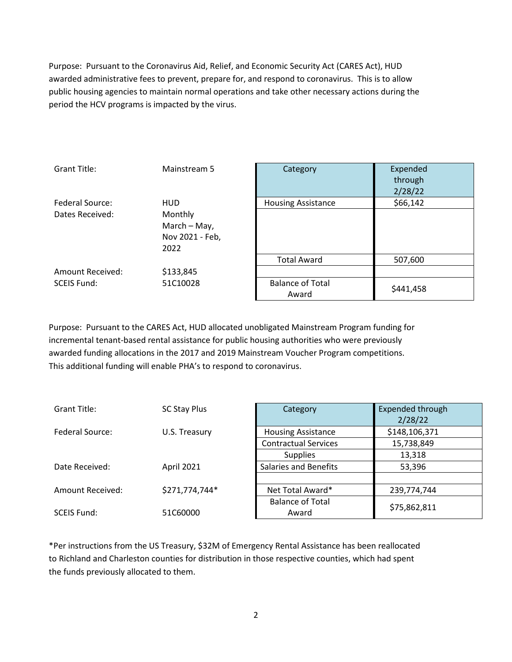Purpose: Pursuant to the Coronavirus Aid, Relief, and Economic Security Act (CARES Act), HUD awarded administrative fees to prevent, prepare for, and respond to coronavirus. This is to allow public housing agencies to maintain normal operations and take other necessary actions during the period the HCV programs is impacted by the virus.

| Grant Title:       | Mainstream 5    | Category                  | Expended  |
|--------------------|-----------------|---------------------------|-----------|
|                    |                 |                           | through   |
|                    |                 |                           | 2/28/22   |
| Federal Source:    | <b>HUD</b>      | <b>Housing Assistance</b> | \$66,142  |
| Dates Received:    | Monthly         |                           |           |
|                    | March - May,    |                           |           |
|                    | Nov 2021 - Feb, |                           |           |
|                    | 2022            |                           |           |
|                    |                 | <b>Total Award</b>        | 507,600   |
| Amount Received:   | \$133,845       |                           |           |
| <b>SCEIS Fund:</b> | 51C10028        | <b>Balance of Total</b>   |           |
|                    |                 | Award                     | \$441,458 |

Purpose: Pursuant to the CARES Act, HUD allocated unobligated Mainstream Program funding for incremental tenant-based rental assistance for public housing authorities who were previously awarded funding allocations in the 2017 and 2019 Mainstream Voucher Program competitions. This additional funding will enable PHA's to respond to coronavirus.

| Grant Title:            | SC Stay Plus      | Category                     | Expended through |
|-------------------------|-------------------|------------------------------|------------------|
|                         |                   |                              | 2/28/22          |
| Federal Source:         | U.S. Treasury     | <b>Housing Assistance</b>    | \$148,106,371    |
|                         |                   | <b>Contractual Services</b>  | 15,738,849       |
|                         |                   | <b>Supplies</b>              | 13,318           |
| Date Received:          | <b>April 2021</b> | <b>Salaries and Benefits</b> | 53,396           |
|                         |                   |                              |                  |
| <b>Amount Received:</b> | \$271,774,744*    | Net Total Award*             | 239,774,744      |
|                         |                   | <b>Balance of Total</b>      | \$75,862,811     |
| SCEIS Fund:             | 51C60000          | Award                        |                  |

\*Per instructions from the US Treasury, \$32M of Emergency Rental Assistance has been reallocated to Richland and Charleston counties for distribution in those respective counties, which had spent the funds previously allocated to them.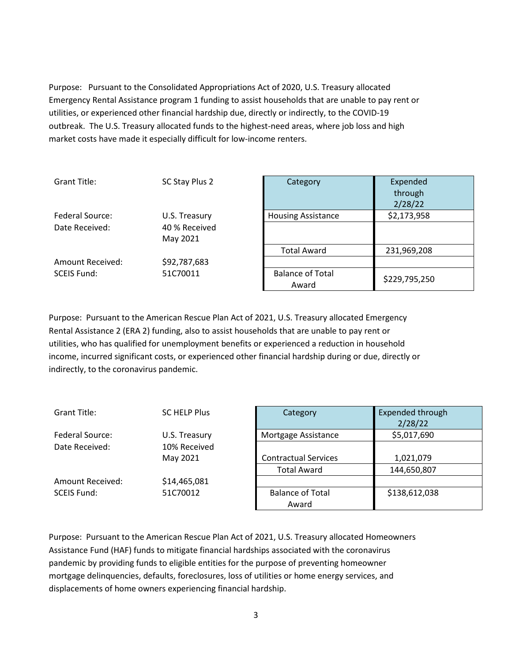Purpose: Pursuant to the Consolidated Appropriations Act of 2020, U.S. Treasury allocated Emergency Rental Assistance program 1 funding to assist households that are unable to pay rent or utilities, or experienced other financial hardship due, directly or indirectly, to the COVID-19 outbreak. The U.S. Treasury allocated funds to the highest-need areas, where job loss and high market costs have made it especially difficult for low-income renters.

| Grant Title:       | SC Stay Plus 2 | Category                         | Expended<br>through<br>2/28/22 |
|--------------------|----------------|----------------------------------|--------------------------------|
| Federal Source:    | U.S. Treasury  | <b>Housing Assistance</b>        | \$2,173,958                    |
| Date Received:     | 40 % Received  |                                  |                                |
|                    | May 2021       |                                  |                                |
|                    |                | <b>Total Award</b>               | 231,969,208                    |
| Amount Received:   | \$92,787,683   |                                  |                                |
| <b>SCEIS Fund:</b> | 51C70011       | <b>Balance of Total</b><br>Award | \$229,795,250                  |

Purpose: Pursuant to the American Rescue Plan Act of 2021, U.S. Treasury allocated Emergency Rental Assistance 2 (ERA 2) funding, also to assist households that are unable to pay rent or utilities, who has qualified for unemployment benefits or experienced a reduction in household income, incurred significant costs, or experienced other financial hardship during or due, directly or indirectly, to the coronavirus pandemic.

| Grant Title:       | <b>SC HELP Plus</b> | Category                    | Expended through |
|--------------------|---------------------|-----------------------------|------------------|
|                    |                     |                             | 2/28/22          |
| Federal Source:    | U.S. Treasury       | Mortgage Assistance         | \$5,017,690      |
| Date Received:     | 10% Received        |                             |                  |
|                    | May 2021            | <b>Contractual Services</b> | 1,021,079        |
|                    |                     | <b>Total Award</b>          | 144,650,807      |
| Amount Received:   | \$14,465,081        |                             |                  |
| <b>SCEIS Fund:</b> | 51C70012            | <b>Balance of Total</b>     | \$138,612,038    |
|                    |                     | Award                       |                  |

Purpose: Pursuant to the American Rescue Plan Act of 2021, U.S. Treasury allocated Homeowners Assistance Fund (HAF) funds to mitigate financial hardships associated with the coronavirus pandemic by providing funds to eligible entities for the purpose of preventing homeowner mortgage delinquencies, defaults, foreclosures, loss of utilities or home energy services, and displacements of home owners experiencing financial hardship.